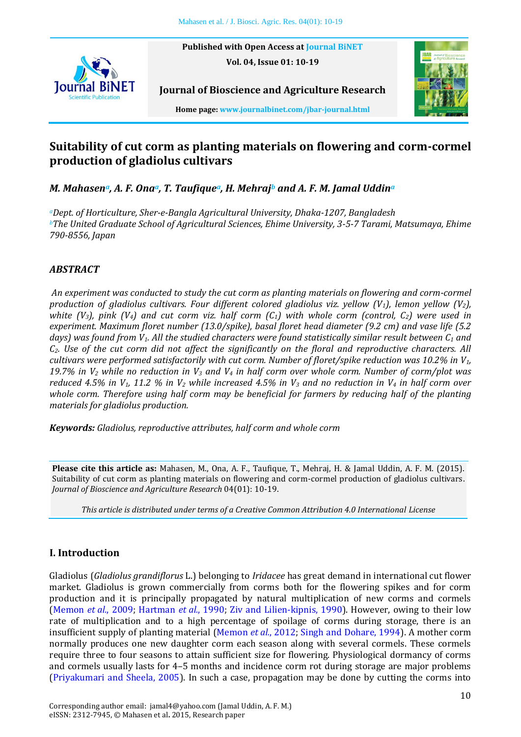**Published with Open Access at [Journal BiNET](http://www.journalbinet.com/) Vol. 04, Issue 01: 10-19**



**Home page[: www.journalbinet.com/jbar-journal.html](http://www.journalbinet.com/jbar-journal.html)**

**Journal of Bioscience and Agriculture Research**

# **Suitability of cut corm as planting materials on flowering and corm-cormel production of gladiolus cultivars**

*M. Mahasena, A. F. Onaa, T. Taufiquea, H. Mehraj<sup>b</sup> and A. F. M. Jamal Uddin<sup>a</sup>*

*<sup>a</sup>Dept. of Horticulture, Sher-e-Bangla Agricultural University, Dhaka-1207, Bangladesh <sup>b</sup>The United Graduate School of Agricultural Sciences, Ehime University, 3-5-7 Tarami, Matsumaya, Ehime 790-8556, Japan*

# *ABSTRACT*

*An experiment was conducted to study the cut corm as planting materials on flowering and corm-cormel production of gladiolus cultivars. Four different colored gladiolus viz. yellow (V1), lemon yellow (V2), white (V3), pink (V4) and cut corm viz. half corm (C1) with whole corm (control, C2) were used in experiment. Maximum floret number (13.0/spike), basal floret head diameter (9.2 cm) and vase life (5.2 days) was found from V1. All the studied characters were found statistically similar result between C<sup>1</sup> and C2. Use of the cut corm did not affect the significantly on the floral and reproductive characters. All cultivars were performed satisfactorily with cut corm. Number of floret/spike reduction was 10.2% in V1, 19.7% in V<sup>2</sup> while no reduction in V<sup>3</sup> and V<sup>4</sup> in half corm over whole corm. Number of corm/plot was reduced 4.5% in V1, 11.2 % in V<sup>2</sup> while increased 4.5% in V<sup>3</sup> and no reduction in V<sup>4</sup> in half corm over whole corm. Therefore using half corm may be beneficial for farmers by reducing half of the planting materials for gladiolus production.*

*Keywords: Gladiolus, reproductive attributes, half corm and whole corm*

**Please cite this article as:** Mahasen, M., Ona, A. F., Taufique, T., Mehraj, H. & Jamal Uddin, A. F. M. (2015). Suitability of cut corm as planting materials on flowering and corm-cormel production of gladiolus cultivars. *Journal of Bioscience and Agriculture Research* 04(01): 10-19.

*This article is distributed under terms of a Creative Common Attribution 4.0 International License*

# **I. Introduction**

Gladiolus (*Gladiolus grandiflorus* L.) belonging to *Iridacee* has great demand in international cut flower market. Gladiolus is grown commercially from corms both for the flowering spikes and for corm production and it is principally propagated by natural multiplication of new corms and cormels [\(Memon](#page-8-0) *et al.*, 2009; [Hartman](#page-8-1) *et al.*, 1990; Ziv and [Lilien-kipnis, 1990\)](#page-9-0). However, owing to their low rate of multiplication and to a high percentage of spoilage of corms during storage, there is an insufficient supply of planting material [\(Memon](#page-8-2) *et al.*, 2012[; Singh and Dohare, 1994\)](#page-9-1). A mother corm normally produces one new daughter corm each season along with several cormels. These cormels require three to four seasons to attain sufficient size for flowering. Physiological dormancy of corms and cormels usually lasts for 4–5 months and incidence corm rot during storage are major problems [\(Priyakumari and Sheela, 2005\)](#page-8-3). In such a case, propagation may be done by cutting the corms into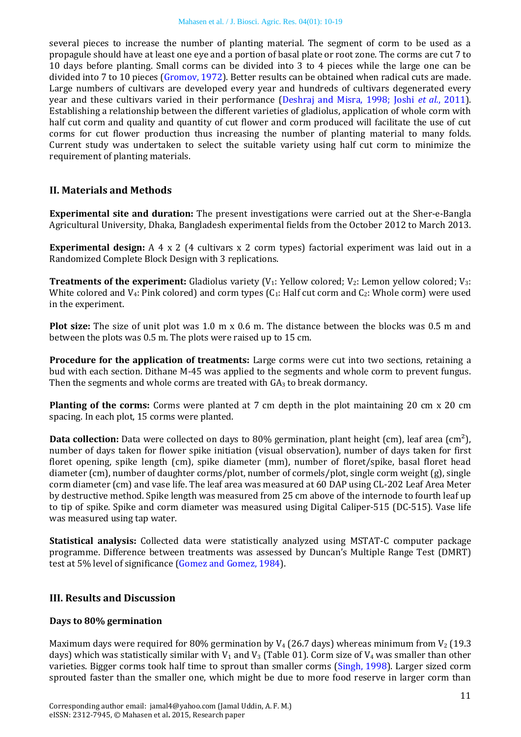several pieces to increase the number of planting material. The segment of corm to be used as a propagule should have at least one eye and a portion of basal plate or root zone. The corms are cut 7 to 10 days before planting. Small corms can be divided into 3 to 4 pieces while the large one can be divided into 7 to 10 pieces [\(Gromov, 1972\)](#page-8-4). Better results can be obtained when radical cuts are made. Large numbers of cultivars are developed every year and hundreds of cultivars degenerated every year and these cultivars varied in their performance [\(Deshraj and Misra, 1998;](#page-7-0) Joshi *et al.*[, 2011\)](#page-8-5). Establishing a relationship between the different varieties of gladiolus, application of whole corm with half cut corm and quality and quantity of cut flower and corm produced will facilitate the use of cut corms for cut flower production thus increasing the number of planting material to many folds. Current study was undertaken to select the suitable variety using half cut corm to minimize the requirement of planting materials.

### **II. Materials and Methods**

**Experimental site and duration:** The present investigations were carried out at the Sher-e-Bangla Agricultural University, Dhaka, Bangladesh experimental fields from the October 2012 to March 2013.

**Experimental design:** A 4 x 2 (4 cultivars x 2 corm types) factorial experiment was laid out in a Randomized Complete Block Design with 3 replications.

**Treatments of the experiment:** Gladiolus variety ( $V_1$ : Yellow colored;  $V_2$ : Lemon yellow colored;  $V_3$ : White colored and  $V_4$ : Pink colored) and corm types  $(C_1)$ : Half cut corm and  $C_2$ : Whole corm) were used in the experiment.

**Plot size:** The size of unit plot was 1.0 m x 0.6 m. The distance between the blocks was 0.5 m and between the plots was 0.5 m. The plots were raised up to 15 cm.

**Procedure for the application of treatments:** Large corms were cut into two sections, retaining a bud with each section. Dithane M-45 was applied to the segments and whole corm to prevent fungus. Then the segments and whole corms are treated with  $GA_3$  to break dormancy.

**Planting of the corms:** Corms were planted at 7 cm depth in the plot maintaining 20 cm x 20 cm spacing. In each plot, 15 corms were planted.

**Data collection:** Data were collected on days to 80% germination, plant height (cm), leaf area (cm<sup>2</sup>), number of days taken for flower spike initiation (visual observation), number of days taken for first floret opening, spike length (cm), spike diameter (mm), number of floret/spike, basal floret head diameter (cm), number of daughter corms/plot, number of cormels/plot, single corm weight (g), single corm diameter (cm) and vase life. The leaf area was measured at 60 DAP using CL-202 Leaf Area Meter by destructive method. Spike length was measured from 25 cm above of the internode to fourth leaf up to tip of spike. Spike and corm diameter was measured using Digital Caliper-515 (DC-515). Vase life was measured using tap water.

**Statistical analysis:** Collected data were statistically analyzed using MSTAT-C computer package programme. Difference between treatments was assessed by Duncan's Multiple Range Test (DMRT) test at 5% level of significance [\(Gomez and Gomez, 1984\)](#page-7-1).

#### **III. Results and Discussion**

#### **Days to 80% germination**

Maximum days were required for 80% germination by  $V_4$  (26.7 days) whereas minimum from  $V_2$  (19.3 days) which was statistically similar with  $V_1$  and  $V_3$  (Table 01). Corm size of  $V_4$  was smaller than other varieties. Bigger corms took half time to sprout than smaller corms [\(Singh, 1998\)](#page-9-2). Larger sized corm sprouted faster than the smaller one, which might be due to more food reserve in larger corm than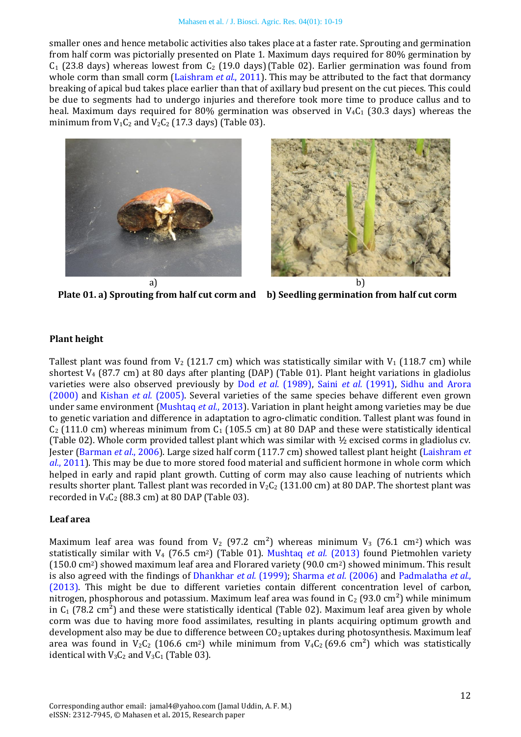smaller ones and hence metabolic activities also takes place at a faster rate. Sprouting and germination from half corm was pictorially presented on Plate 1. Maximum days required for 80% germination by  $C_1$  (23.8 days) whereas lowest from  $C_2$  (19.0 days)(Table 02). Earlier germination was found from whole corm than small corm [\(Laishram](#page-8-6) *et al.*, 2011). This may be attributed to the fact that dormancy breaking of apical bud takes place earlier than that of axillary bud present on the cut pieces. This could be due to segments had to undergo injuries and therefore took more time to produce callus and to heal. Maximum days required for 80% germination was observed in  $V_4C_1$  (30.3 days) whereas the minimum from  $V_1C_2$  and  $V_2C_2$  (17.3 days) (Table 03).



**Plate 01. a) Sprouting from half cut corm and b) Seedling germination from half cut corm**



### **Plant height**

Tallest plant was found from  $V_2$  (121.7 cm) which was statistically similar with  $V_1$  (118.7 cm) while shortest V<sup>4</sup> (87.7 cm) at 80 days after planting (DAP) (Table 01). Plant height variations in gladiolus varieties were also observed previously by Dod *et al*[. \(1989\),](#page-7-2) Saini *et al.* [\(1991\),](#page-8-7) [Sidhu and Arora](#page-9-3)  [\(2000\)](#page-9-3) and [Kishan](#page-8-8) *et al.* (2005). Several varieties of the same species behave different even grown under same environment [\(Mushtaq](#page-8-9) *et al.*, 2013). Variation in plant height among varieties may be due to genetic variation and difference in adaptation to agro-climatic condition. Tallest plant was found in  $C_2$  (111.0 cm) whereas minimum from  $C_1$  (105.5 cm) at 80 DAP and these were statistically identical (Table 02). Whole corm provided tallest plant which was similar with ½ excised corms in gladiolus cv. Jester [\(Barman](#page-7-3) *et al*., 2006). Large sized half corm (117.7 cm) showed tallest plant height [\(Laishram](#page-8-6) *et al.*[, 2011\)](#page-8-6). This may be due to more stored food material and sufficient hormone in whole corm which helped in early and rapid plant growth. Cutting of corm may also cause leaching of nutrients which results shorter plant. Tallest plant was recorded in  $V_2C_2$  (131.00 cm) at 80 DAP. The shortest plant was recorded in  $V_4C_2$  (88.3 cm) at 80 DAP (Table 03).

### **Leaf area**

Maximum leaf area was found from  $V_2$  (97.2 cm<sup>2</sup>) whereas minimum  $V_3$  (76.1 cm<sup>2</sup>) which was statistically similar with V<sub>4</sub> (76.5 cm<sup>2</sup>) (Table 01). [Mushtaq](#page-8-9) *et al.* (2013) found Pietmohlen variety (150.0 cm2) showed maximum leaf area and Florared variety (90.0 cm2) showed minimum. This result is also agreed with the findings of [Dhankhar](#page-7-4) *et al.* (1999); [Sharma](#page-8-10) *et al.* (2006) and [Padmalatha](#page-8-11) *et al.*, [\(2013\).](#page-8-11) This might be due to different varieties contain different concentration level of carbon, nitrogen, phosphorous and potassium. Maximum leaf area was found in  $C_2$  (93.0 cm<sup>2</sup>) while minimum in  $C_1$  (78.2 cm<sup>2</sup>) and these were statistically identical (Table 02). Maximum leaf area given by whole corm was due to having more food assimilates, resulting in plants acquiring optimum growth and development also may be due to difference between  $CO<sub>2</sub>$  uptakes during photosynthesis. Maximum leaf area was found in  $V_2C_2$  (106.6 cm<sup>2</sup>) while minimum from  $V_4C_2$  (69.6 cm<sup>2</sup>) which was statistically identical with  $V_3C_2$  and  $V_3C_1$  (Table 03).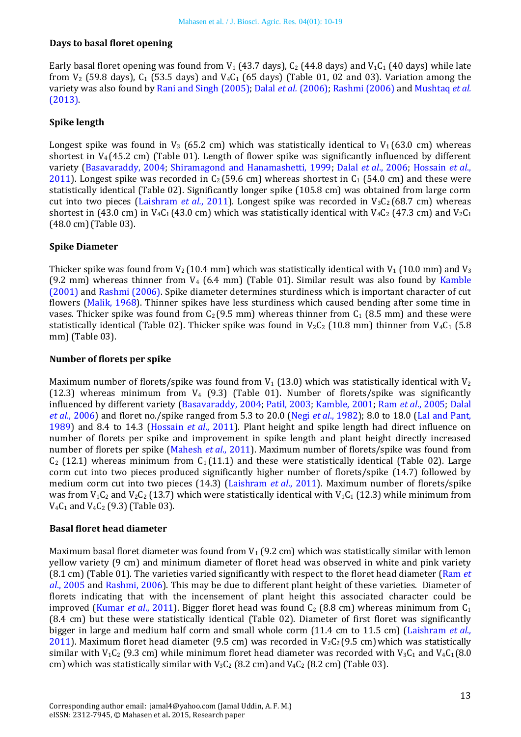### **Days to basal floret opening**

Early basal floret opening was found from  $V_1$  (43.7 days),  $C_2$  (44.8 days) and  $V_1C_1$  (40 days) while late from  $V_2$  (59.8 days),  $C_1$  (53.5 days) and  $V_4C_1$  (65 days) (Table 01, 02 and 03). Variation among the variety was also found by [Rani and Singh \(2005\);](#page-8-12) Dalal *et al.* [\(2006\);](#page-7-5) [Rashmi \(2006\)](#page-8-13) an[d Mushtaq](#page-8-9) *et al.* [\(2013\).](#page-8-9)

### **Spike length**

Longest spike was found in  $V_3$  (65.2 cm) which was statistically identical to  $V_1$  (63.0 cm) whereas shortest in  $V_4$  (45.2 cm) (Table 01). Length of flower spike was significantly influenced by different variety [\(Basavaraddy, 2004;](#page-7-6) [Shiramagond and Hanamashetti, 1999;](#page-8-14) Dalal *et al*[., 2006;](#page-7-5) [Hossain](#page-8-15) *et al*., [2011\)](#page-8-15). Longest spike was recorded in  $C_2$  (59.6 cm) whereas shortest in  $C_1$  (54.0 cm) and these were statistically identical (Table 02). Significantly longer spike (105.8 cm) was obtained from large corm cut into two pieces [\(Laishram](#page-8-6) *et al.*, 2011). Longest spike was recorded in  $V_3C_2$  (68.7 cm) whereas shortest in (43.0 cm) in V<sub>4</sub>C<sub>1</sub> (43.0 cm) which was statistically identical with V<sub>4</sub>C<sub>2</sub> (47.3 cm) and V<sub>2</sub>C<sub>1</sub> (48.0 cm)(Table 03).

### **Spike Diameter**

Thicker spike was found from  $V_2$  (10.4 mm) which was statistically identical with  $V_1$  (10.0 mm) and  $V_3$ (9.2 mm) whereas thinner from  $V_4$  (6.4 mm) (Table 01). Similar result was also found by Kamble [\(2001\)](#page-8-16) and [Rashmi \(2006\).](#page-8-13) Spike diameter determines sturdiness which is important character of cut flowers [\(Malik, 1968\)](#page-8-17). Thinner spikes have less sturdiness which caused bending after some time in vases. Thicker spike was found from  $C_2$  (9.5 mm) whereas thinner from  $C_1$  (8.5 mm) and these were statistically identical (Table 02). Thicker spike was found in  $V_2C_2$  (10.8 mm) thinner from  $V_4C_1$  (5.8 mm) (Table 03).

### **Number of florets per spike**

Maximum number of florets/spike was found from  $V_1$  (13.0) which was statistically identical with  $V_2$ (12.3) whereas minimum from  $V_4$  (9.3) (Table 01). Number of florets/spike was significantly influenced by different variety [\(Basavaraddy, 2004;](#page-7-6) [Patil, 2003;](#page-8-18) [Kamble, 2001;](#page-8-16) Ram *et al*[., 2005;](#page-8-19) [Dalal](#page-7-5)  *et al*., [2006\)](#page-7-5) and floret no./spike ranged from 5.3 to 20.0 (Negi *et al*[., 1982\)](#page-8-20); 8.0 to 18.0 [\(Lal and Pant,](#page-8-21)  [1989\)](#page-8-21) and 8.4 to 14.3 [\(Hossain](#page-8-15) *et al*., 2011). Plant height and spike length had direct influence on number of florets per spike and improvement in spike length and plant height directly increased number of florets per spike [\(Mahesh](#page-8-22) *et al*., 2011). Maximum number of florets/spike was found from  $C_2$  (12.1) whereas minimum from  $C_1$  (11.1) and these were statistically identical (Table 02). Large corm cut into two pieces produced significantly higher number of florets/spike (14.7) followed by medium corm cut into two pieces (14.3) [\(Laishram](#page-8-6) *et al*., 2011). Maximum number of florets/spike was from  $V_1C_2$  and  $V_2C_2$  (13.7) which were statistically identical with  $V_1C_1$  (12.3) while minimum from  $V_4C_1$  and  $V_4C_2$  (9.3) (Table 03).

### **Basal floret head diameter**

Maximum basal floret diameter was found from  $V_1$  (9.2 cm) which was statistically similar with lemon yellow variety (9 cm) and minimum diameter of floret head was observed in white and pink variety (8.1 cm) (Table 01). The varieties varied significantly with respect to the floret head diameter [\(Ram](#page-8-19) *et al*[., 2005](#page-8-19) and [Rashmi, 2006\)](#page-8-13). This may be due to different plant height of these varieties. Diameter of florets indicating that with the incensement of plant height this associated character could be improved [\(Kumar](#page-8-23) *et al.*, 2011). Bigger floret head was found  $C_2$  (8.8 cm) whereas minimum from  $C_1$ (8.4 cm) but these were statistically identical (Table 02). Diameter of first floret was significantly bigger in large and medium half corm and small whole corm (11.4 cm to 11.5 cm) [\(Laishram](#page-8-6) *et al.,*  [2011\)](#page-8-6). Maximum floret head diameter (9.5 cm) was recorded in  $V_2C_2$  (9.5 cm) which was statistically similar with  $V_1C_2$  (9.3 cm) while minimum floret head diameter was recorded with  $V_3C_1$  and  $V_4C_1$  (8.0 cm) which was statistically similar with  $V_3C_2$  (8.2 cm) and  $V_4C_2$  (8.2 cm) (Table 03).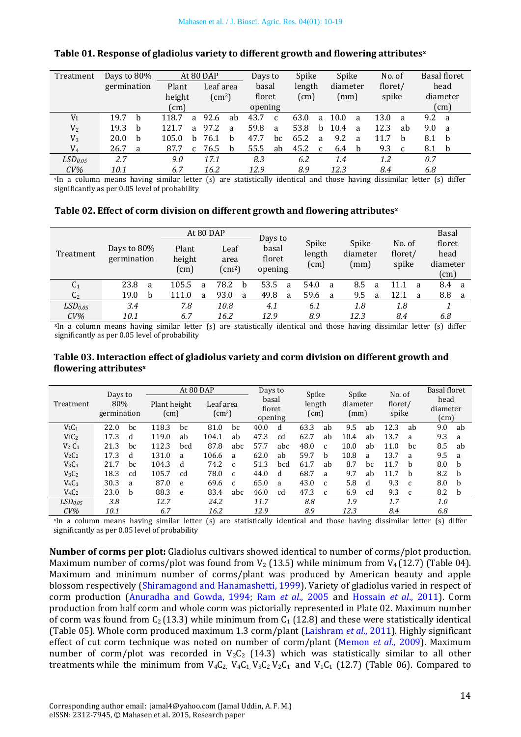| Treatment           | Days to 80% |              | At 80 DAP               |              |           |    | Days to     |                 | Spike |              | Spike    |              | No. of   |    |      | Basal floret |
|---------------------|-------------|--------------|-------------------------|--------------|-----------|----|-------------|-----------------|-------|--------------|----------|--------------|----------|----|------|--------------|
|                     | germination |              | Plant                   |              | Leaf area |    |             | length<br>basal |       |              | diameter |              | floret/  |    | head |              |
|                     |             |              | height<br>$\text{cm}^2$ |              | floret    |    | $\text{cm}$ |                 | (mm)  |              | spike    |              | diameter |    |      |              |
|                     |             |              | $\text{cm}$ )           |              |           |    | opening     |                 |       |              |          |              |          |    |      | $\text{cm}$  |
| V <sub>1</sub>      | 19.7        | h            | 118.7                   | a            | 92.6      | ab | 43.7        | $\mathcal{C}$   | 63.0  | a            | 10.0     | a            | 13.0     | a  | 9.2  | <sub>a</sub> |
| $\rm V_2$           | 19.3        | <sub>b</sub> | 121.7                   | a            | 97.2      | a  | 59.8        | a               | 53.8  | <sub>b</sub> | 10.4     | a            | 12.3     | ab | 9.0  | a            |
| $\rm V_3$           | 20.0        | <sub>b</sub> | 105.0                   | <sub>h</sub> | 76.1      | h  | 47.7        | bc              | 65.2  | a            | 9.2      | <sub>a</sub> | 11.7     | h  | 8.1  | b            |
| $V_4$               | 26.7        | a            | 87.7                    | $\mathbf{C}$ | 76.5      | b  | 55.5        | ab              | 45.2  | <sub>c</sub> | 6.4      | <sub>b</sub> | 9.3      | C  | 8.1  | b            |
| LSD <sub>0.05</sub> | 2.7         |              | 9.0                     |              | 17.1      |    | 8.3         |                 | 6.2   |              | 1.4      |              | 1.2      |    | 0.7  |              |
| $CV\%$              | 10.1        |              | 6.7                     |              | 16.2      |    | 12.9        |                 | 8.9   |              | 12.3     |              | 8.4      |    | 6.8  |              |

#### **Table 01. Response of gladiolus variety to different growth and flowering attributes<sup>x</sup>**

<sup>x</sup>In a column means having similar letter (s) are statistically identical and those having dissimilar letter (s) differ significantly as per 0.05 level of probability

|                     |                            |       | At 80 DAP                                               |      |   |                                       |   |                 |      |                   |      |                   | Basal |                |              |
|---------------------|----------------------------|-------|---------------------------------------------------------|------|---|---------------------------------------|---|-----------------|------|-------------------|------|-------------------|-------|----------------|--------------|
| Treatment           | Days to 80%<br>germination | Plant | Leaf<br>height<br>area<br>$\rm (cm^2)$<br>$\text{cm}$ ) |      |   | Days to<br>basal<br>floret<br>opening |   | Spike<br>length |      | Spike<br>diameter |      | No. of<br>floret/ |       | floret<br>head |              |
|                     |                            |       |                                                         |      |   |                                       |   |                 | (cm) |                   | (mm) |                   | spike |                | diameter     |
|                     |                            |       |                                                         |      |   |                                       |   |                 |      |                   |      |                   |       | $\text{(cm)}$  |              |
| C <sub>1</sub>      | 23.8<br>a                  | 105.5 | a                                                       | 78.2 | b | 53.5                                  | a | 54.0            | a    | 8.5               | a    | 11.1              | a     | 8.4            | <sub>a</sub> |
| C <sub>2</sub>      | 19.0<br>h                  | 111.0 | a                                                       | 93.0 | a | 49.8                                  | a | 59.6            | a    | 9.5               | a    | 12.1              | a     | 8.8            | a            |
| LSD <sub>0.05</sub> | 3.4                        | 7.8   |                                                         | 10.8 |   | 4.1                                   |   | 6.1             |      | 1.8               |      | 1.8               |       |                |              |
| $CV\%$              | 10.1                       | 6.7   |                                                         | 16.2 |   | 12.9                                  |   | 8.9             |      | 12.3              |      | 8.4               |       | 6.8            |              |

<sup>x</sup>In a column means having similar letter (s) are statistically identical and those having dissimilar letter (s) differ significantly as per 0.05 level of probability

#### **Table 03. Interaction effect of gladiolus variety and corm division on different growth and flowering attributes<sup>x</sup>**

|                               | Days to            |    |                               | At 80 DAP |                            |              | Days to                    |     |                | Spike        |                  | Spike | No. of           |              | <b>Basal floret</b>               |    |
|-------------------------------|--------------------|----|-------------------------------|-----------|----------------------------|--------------|----------------------------|-----|----------------|--------------|------------------|-------|------------------|--------------|-----------------------------------|----|
| Treatment                     | 80%<br>germination |    | Plant height<br>$\text{(cm)}$ |           | Leaf area<br>$\text{cm}^2$ |              | basal<br>floret<br>opening |     | length<br>(cm) |              | diameter<br>(mm) |       | floret/<br>spike |              | head<br>diameter<br>$\text{(cm)}$ |    |
|                               |                    |    |                               |           |                            |              |                            |     |                |              |                  |       |                  |              |                                   |    |
| ViC <sub>1</sub>              | 22.0               | bc | 118.3                         | bc        | 81.0                       | bc           | 40.0                       | d   | 63.3           | ab           | 9.5              | ab    | 12.3             | ab           | 9.0                               | ab |
| ViC <sub>2</sub>              | 17.3               | d  | 119.0                         | ab        | 104.1                      | ab           | 47.3                       | cd  | 62.7           | ab           | 10.4             | ab    | 13.7             | a            | 9.3                               | a  |
| $V_2C_1$                      | 21.3               | bc | 112.3                         | bcd       | 87.8                       | abc          | 57.7                       | abc | 48.0           | C            | 10.0             | ab    | 11.0             | bc           | 8.5                               | ab |
| $V_2C_2$                      | 17.3               | d  | 131.0                         | a         | 106.6                      | a            | 62.0                       | ab  | 59.7           | h            | 10.8             | a     | 13.7             | a            | 9.5                               | a  |
| $V_3C_1$                      | 21.7               | bc | 104.3                         | d         | 74.2                       | $\mathbf{C}$ | 51.3                       | bcd | 61.7           | ab           | 8.7              | bc    | 11.7             | h            | 8.0                               | b  |
| V <sub>3</sub> C <sub>2</sub> | 18.3               | cd | 105.7                         | cd        | 78.0                       | $\mathbf{C}$ | 44.0                       | d   | 68.7           | a            | 9.7              | ab    | 11.7             | h            | 8.2                               | b  |
| $V_4C_1$                      | 30.3               | a  | 87.0                          | e         | 69.6                       | C            | 65.0                       | a   | 43.0           | $\mathsf{C}$ | 5.8              | d     | 9.3              | $\mathbf{C}$ | 8.0                               | h  |
| $V_4C_2$                      | 23.0               | b  | 88.3                          | e         | 83.4                       | abc          | 46.0                       | cd  | 47.3           | C            | 6.9              | cd    | 9.3              | $\mathbf{C}$ | 8.2                               | b  |
| LSD <sub>0.05</sub>           | 3.8                |    | 12.7                          |           | 24.2                       |              | 11.7                       |     | 8.8            |              | 1.9              |       | 1.7              |              | 1.0                               |    |
| $CV\%$                        | 10.1               |    | 6.7                           |           | 16.2                       |              | 12.9                       |     | 8.9            |              | 12.3             |       | 8.4              |              | 6.8                               |    |

<sup>x</sup>In a column means having similar letter (s) are statistically identical and those having dissimilar letter (s) differ significantly as per 0.05 level of probability

**Number of corms per plot:** Gladiolus cultivars showed identical to number of corms/plot production. Maximum number of corms/plot was found from  $V_2$  (13.5) while minimum from  $V_4$  (12.7) (Table 04). Maximum and minimum number of corms/plant was produced by American beauty and apple blossom respectively [\(Shiramagond and Hanamashetti, 1999\)](#page-8-14). Variety of gladiolus varied in respect of corm production [\(Anuradha and Gowda, 1994;](#page-7-7) Ram *et al*[., 2005](#page-8-19) and [Hossain](#page-8-15) *et al*., 2011). Corm production from half corm and whole corm was pictorially represented in Plate 02. Maximum number of corm was found from  $C_2$  (13.3) while minimum from  $C_1$  (12.8) and these were statistically identical (Table 05). Whole corm produced maximum 1.3 corm/plant [\(Laishram](#page-8-6) *et al*., 2011). Highly significant effect of cut corm technique was noted on number of corm/plant [\(Memon](#page-8-0) *et al.*, 2009). Maximum number of corm/plot was recorded in  $V_2C_2$  (14.3) which was statistically similar to all other treatments while the minimum from  $V_4C_2$ ,  $V_4C_1$ ,  $V_3C_2V_2C_1$  and  $V_1C_1$  (12.7) (Table 06). Compared to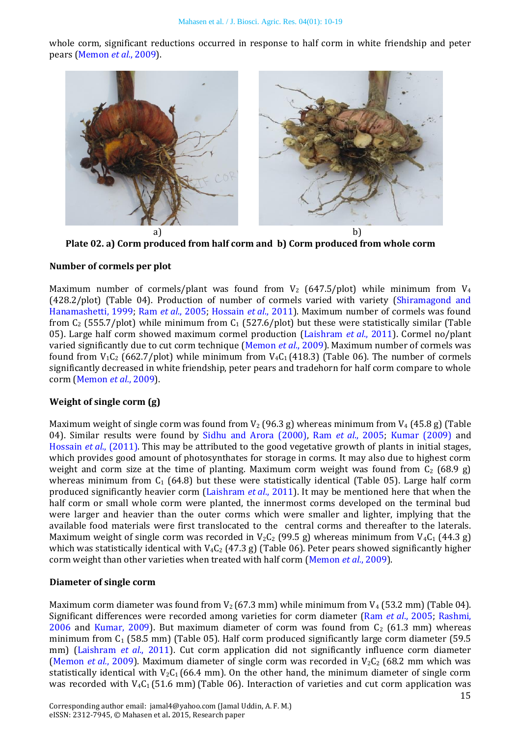whole corm, significant reductions occurred in response to half corm in white friendship and peter pears [\(Memon](#page-8-0) *et al.*, 2009).



**Plate 02. a) Corm produced from half corm and b) Corm produced from whole corm**

### **Number of cormels per plot**

Maximum number of cormels/plant was found from  $V_2$  (647.5/plot) while minimum from  $V_4$ (428.2/plot) (Table 04). Production of number of cormels varied with variety [\(Shiramagond and](#page-8-14)  [Hanamashetti, 1999;](#page-8-14) Ram *et al*[., 2005;](#page-8-19) [Hossain](#page-8-15) *et al*., 2011). Maximum number of cormels was found from  $C_2$  (555.7/plot) while minimum from  $C_1$  (527.6/plot) but these were statistically similar (Table 05). Large half corm showed maximum cormel production [\(Laishram](#page-8-6) *et al*., 2011). Cormel no/plant varied significantly due to cut corm technique [\(Memon](#page-8-0) *et al.*, 2009). Maximum number of cormels was found from  $V_1C_2$  (662.7/plot) while minimum from  $V_4C_1$  (418.3) (Table 06). The number of cormels significantly decreased in white friendship, peter pears and tradehorn for half corm compare to whole corm [\(Memon](#page-8-0) *et al.*, 2009).

### **Weight of single corm (g)**

Maximum weight of single corm was found from  $V_2$  (96.3 g) whereas minimum from  $V_4$  (45.8 g) (Table 04). Similar results were found by [Sidhu and Arora \(2000\),](#page-9-3) Ram *et al*[., 2005;](#page-8-19) [Kumar \(2009\)](#page-8-24) and Hossain *et al*[., \(2011\).](#page-8-15) This may be attributed to the good vegetative growth of plants in initial stages, which provides good amount of photosynthates for storage in corms. It may also due to highest corm weight and corm size at the time of planting. Maximum corm weight was found from  $C_2$  (68.9 g) whereas minimum from  $C_1$  (64.8) but these were statistically identical (Table 05). Large half corm produced significantly heavier corm [\(Laishram](#page-8-6) *et al*., 2011). It may be mentioned here that when the half corm or small whole corm were planted, the innermost corms developed on the terminal bud were larger and heavier than the outer corms which were smaller and lighter, implying that the available food materials were first translocated to the central corms and thereafter to the laterals. Maximum weight of single corm was recorded in  $V_2C_2$  (99.5 g) whereas minimum from  $V_4C_1$  (44.3 g) which was statistically identical with V<sub>4</sub>C<sub>2</sub> (47.3 g) (Table 06). Peter pears showed significantly higher corm weight than other varieties when treated with half corm [\(Memon](#page-8-0) *et al.*, 2009).

### **Diameter of single corm**

Maximum corm diameter was found from  $V_2$  (67.3 mm) while minimum from  $V_4$  (53.2 mm) (Table 04). Significant differences were recorded among varieties for corm diameter (Ram *et al*[., 2005;](#page-8-19) [Rashmi,](#page-8-13)  [2006](#page-8-13) and [Kumar, 2009\)](#page-8-24). But maximum diameter of corm was found from  $C_2$  (61.3 mm) whereas minimum from  $C_1$  (58.5 mm) (Table 05). Half corm produced significantly large corm diameter (59.5) mm) [\(Laishram](#page-8-6) *et al.*, 2011). Cut corm application did not significantly influence corm diameter [\(Memon](#page-8-0) *et al.*, 2009). Maximum diameter of single corm was recorded in  $V_2C_2$  (68.2 mm which was statistically identical with  $V_2C_1$  (66.4 mm). On the other hand, the minimum diameter of single corm was recorded with  $V_4C_1(51.6 \text{ mm})$  (Table 06). Interaction of varieties and cut corm application was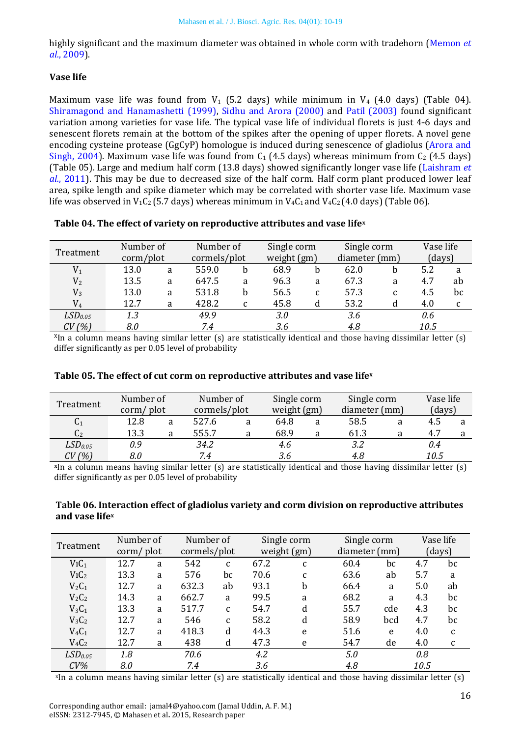highly significant and the maximum diameter was obtained in whole corm with tradehorn [\(Memon](#page-8-0) *et al.*[, 2009\)](#page-8-0).

### **Vase life**

Maximum vase life was found from  $V_1$  (5.2 days) while minimum in  $V_4$  (4.0 days) (Table 04). [Shiramagond and Hanamashetti \(1999\),](#page-8-14) [Sidhu and Arora \(2000\)](#page-9-3) and [Patil \(2003\)](#page-8-18) found significant variation among varieties for vase life. The typical vase life of individual florets is just 4-6 days and senescent florets remain at the bottom of the spikes after the opening of upper florets. A novel gene encoding cysteine protease (GgCyP) homologue is induced during senescence of gladiolus [\(Arora and](#page-7-8)  [Singh, 2004\)](#page-7-8). Maximum vase life was found from  $C_1$  (4.5 days) whereas minimum from  $C_2$  (4.5 days) (Table 05). Large and medium half corm (13.8 days) showed significantly longer vase life [\(Laishram](#page-8-6) *et al.*[, 2011\)](#page-8-6). This may be due to decreased size of the half corm. Half corm plant produced lower leaf area, spike length and spike diameter which may be correlated with shorter vase life. Maximum vase life was observed in  $V_1C_2$  (5.7 days) whereas minimum in  $V_4C_1$  and  $V_4C_2$  (4.0 days) (Table 06).

### **Table 04. The effect of variety on reproductive attributes and vase life<sup>x</sup>**

|                     |                             | Number of |              | Number of | Single corm |   | Single corm   | Vase life |      |    |
|---------------------|-----------------------------|-----------|--------------|-----------|-------------|---|---------------|-----------|------|----|
| Treatment           | $\text{corn} / \text{plot}$ |           | cormels/plot |           | weight (gm) |   | diameter (mm) | (days)    |      |    |
| $\mathrm{V}_1$      | 13.0                        | a         | 559.0        | h         | 68.9        | b | 62.0          | b         | 5.2  | a  |
| V <sub>2</sub>      | 13.5                        | a         | 647.5        | a         | 96.3        | a | 67.3          | a         | 4.7  | ab |
| $V_3$               | 13.0                        | a         | 531.8        | b         | 56.5        | C | 57.3          | C         | 4.5  | bc |
| $\rm V_4$           | 12.7                        | a         | 428.2        | C         | 45.8        | d | 53.2          |           | 4.0  |    |
| LSD <sub>0.05</sub> | 1.3                         |           | 49.9         |           | 3.0         |   | 3.6           |           | 0.6  |    |
| CV(%)               | 8.0                         |           | 7.4          |           | 3.6         |   | 4.8           |           | 10.5 |    |

 $X$ In a column means having similar letter (s) are statistically identical and those having dissimilar letter (s) differ significantly as per 0.05 level of probability

| Table 05. The effect of cut corm on reproductive attributes and vase lifex |  |
|----------------------------------------------------------------------------|--|
|----------------------------------------------------------------------------|--|

| Treatment           | Number of           |   | Number of    |   | Single corm | Single corm   |   | Vase life |  |
|---------------------|---------------------|---|--------------|---|-------------|---------------|---|-----------|--|
|                     | $\text{corn/ plot}$ |   | cormels/plot |   | weight (gm) | diameter (mm) |   | (days)    |  |
| C <sub>1</sub>      | 12.8                | a | 527.6        | a | 64.8        | 58.5          | a | 4.5       |  |
| C <sub>2</sub>      | 13.3                |   | 555.7        | a | 68.9        | 61.3          | a | 4.7       |  |
| LSD <sub>0.05</sub> | 0.9                 |   | 34.2         |   | 4.6         | 3.2           |   | 0.4       |  |
| CV(%)               | 8.0                 |   | 7.4          |   | 3.6         | 4.8           |   | 10.5      |  |

**<sup>x</sup>**In a column means having similar letter (s) are statistically identical and those having dissimilar letter (s) differ significantly as per 0.05 level of probability

### **Table 06. Interaction effect of gladiolus variety and corm division on reproductive attributes and vase life<sup>x</sup>**

| Treatment           |           | Number of |       | Number of    |      | Single corm  | Single corm   |     | Vase life |              |
|---------------------|-----------|-----------|-------|--------------|------|--------------|---------------|-----|-----------|--------------|
|                     | corm/plot |           |       | cormels/plot |      | weight (gm)  | diameter (mm) |     | (days)    |              |
| $ViC_1$             | 12.7      | a         | 542   | $\mathbf{C}$ | 67.2 | C            | 60.4          | bc  | 4.7       | bc           |
| ViC <sub>2</sub>    | 13.3      | a         | 576   | bc           | 70.6 | $\mathbf{C}$ | 63.6          | ab  | 5.7       | a            |
| $V_2C_1$            | 12.7      | a         | 632.3 | ab           | 93.1 | b            | 66.4          | a   | 5.0       | ab           |
| $V_2C_2$            | 14.3      | a         | 662.7 | a            | 99.5 | a            | 68.2          | a   | 4.3       | bc           |
| $V_3C_1$            | 13.3      | a         | 517.7 | C            | 54.7 | d            | 55.7          | cde | 4.3       | bc           |
| $V_3C_2$            | 12.7      | a         | 546   | C            | 58.2 | d            | 58.9          | bcd | 4.7       | bc           |
| $V_4C_1$            | 12.7      | a         | 418.3 | d            | 44.3 | e            | 51.6          | e   | 4.0       | $\mathbf{C}$ |
| $V_4C_2$            | 12.7      | a         | 438   | d            | 47.3 | e            | 54.7          | de  | 4.0       | $\mathsf{C}$ |
| LSD <sub>0.05</sub> | 1.8       |           | 70.6  |              | 4.2  |              | 5.0           |     | 0.8       |              |
| $CV\%$              | 8.0       |           | 7.4   |              | 3.6  |              | 4.8           |     | 10.5      |              |

x In a column means having similar letter (s) are statistically identical and those having dissimilar letter (s)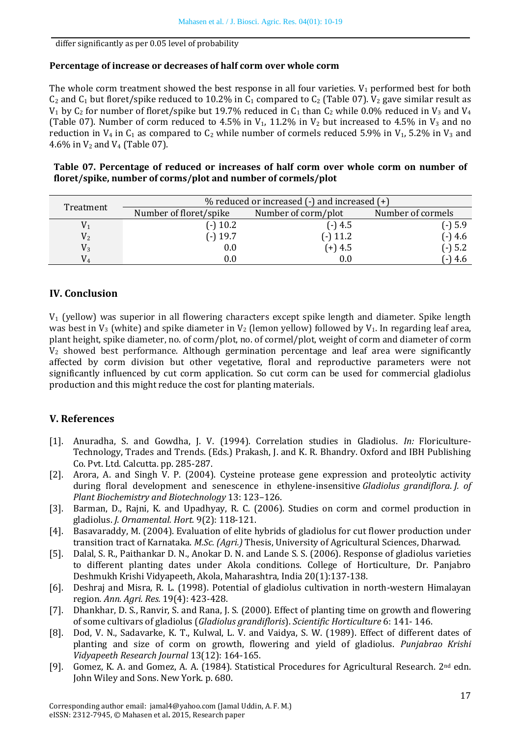differ significantly as per 0.05 level of probability

### **Percentage of increase or decreases of half corm over whole corm**

The whole corm treatment showed the best response in all four varieties.  $V_1$  performed best for both  $C_2$  and  $C_1$  but floret/spike reduced to 10.2% in  $C_1$  compared to  $C_2$  (Table 07).  $V_2$  gave similar result as  $V_1$  by  $C_2$  for number of floret/spike but 19.7% reduced in  $C_1$  than  $C_2$  while 0.0% reduced in  $V_3$  and  $V_4$ (Table 07). Number of corm reduced to 4.5% in  $V_1$ , 11.2% in  $V_2$  but increased to 4.5% in  $V_3$  and no reduction in  $V_4$  in  $C_1$  as compared to  $C_2$  while number of cormels reduced 5.9% in  $V_1$ , 5.2% in  $V_3$  and 4.6% in  $V_2$  and  $V_4$  (Table 07).

### **Table 07. Percentage of reduced or increases of half corm over whole corm on number of floret/spike, number of corms/plot and number of cormels/plot**

|           | $%$ reduced or increased $(-)$ and increased $(+)$ |                     |                   |  |  |  |  |  |  |  |  |
|-----------|----------------------------------------------------|---------------------|-------------------|--|--|--|--|--|--|--|--|
| Treatment | Number of floret/spike                             | Number of corm/plot | Number of cormels |  |  |  |  |  |  |  |  |
|           | $(-)$ 10.2                                         | $(-)4.5$            | $(-) 5.9$         |  |  |  |  |  |  |  |  |
| $\rm V_2$ | (-) 19.7                                           | $(-) 11.2$          | $(-)4.6$          |  |  |  |  |  |  |  |  |
| $\rm V_3$ | $0.0\,$                                            | (+) 4.5             | $(-) 5.2$         |  |  |  |  |  |  |  |  |
| $V_4$     | J.O                                                | $0.0\,$             | 4.6               |  |  |  |  |  |  |  |  |

# **IV. Conclusion**

 $V_1$  (yellow) was superior in all flowering characters except spike length and diameter. Spike length was best in  $V_3$  (white) and spike diameter in  $V_2$  (lemon yellow) followed by  $V_1$ . In regarding leaf area, plant height, spike diameter, no. of corm/plot, no. of cormel/plot, weight of corm and diameter of corm  $V_2$  showed best performance. Although germination percentage and leaf area were significantly affected by corm division but other vegetative, floral and reproductive parameters were not significantly influenced by cut corm application. So cut corm can be used for commercial gladiolus production and this might reduce the cost for planting materials.

### **V. References**

- <span id="page-7-7"></span>[1]. Anuradha, S. and Gowdha, J. V. (1994). Correlation studies in Gladiolus. *In:* Floriculture-Technology, Trades and Trends. (Eds.) Prakash, J. and K. R. Bhandry. Oxford and IBH Publishing Co. Pvt. Ltd. Calcutta. pp. 285-287.
- <span id="page-7-8"></span>[2]. Arora, A. and Singh V. P. (2004). Cysteine protease gene expression and proteolytic activity during floral development and senescence in ethylene-insensitive *Gladiolus grandiflora*. *J. of Plant Biochemistry and Biotechnology* 13: 123–126.
- <span id="page-7-3"></span>[3]. Barman, D., Rajni, K. and Upadhyay, R. C. (2006). Studies on corm and cormel production in gladiolus. *J. Ornamental. Hort.* 9(2): 118-121.
- <span id="page-7-6"></span>[4]. Basavaraddy, M. (2004). Evaluation of elite hybrids of gladiolus for cut flower production under transition tract of Karnataka. *M.Sc. (Agri.)* Thesis, University of Agricultural Sciences, Dharwad.
- <span id="page-7-5"></span>[5]. Dalal, S. R., Paithankar D. N., Anokar D. N. and Lande S. S. (2006). Response of gladiolus varieties to different planting dates under Akola conditions. College of Horticulture, Dr. Panjabro Deshmukh Krishi Vidyapeeth, Akola, Maharashtra, India 20(1):137-138.
- <span id="page-7-0"></span>[6]. Deshraj and Misra, R. L. (1998). Potential of gladiolus cultivation in north-western Himalayan region*. Ann. Agri. Res.* 19(4): 423-428.
- <span id="page-7-4"></span>[7]. Dhankhar, D. S., Ranvir, S. and Rana, J. S. (2000). Effect of planting time on growth and flowering of some cultivars of gladiolus (*Gladiolus grandifloris*). *Scientific Horticulture* 6: 141- 146.
- <span id="page-7-2"></span>[8]. Dod, V. N., Sadavarke, K. T., Kulwal, L. V. and Vaidya, S. W. (1989). Effect of different dates of planting and size of corm on growth, flowering and yield of gladiolus. *Punjabrao Krishi Vidyapeeth Research Journal* 13(12): 164-165.
- <span id="page-7-1"></span>[9]. Gomez, K. A. and Gomez, A. A. (1984). Statistical Procedures for Agricultural Research. 2<sup>nd</sup> edn. John Wiley and Sons. New York. p. 680.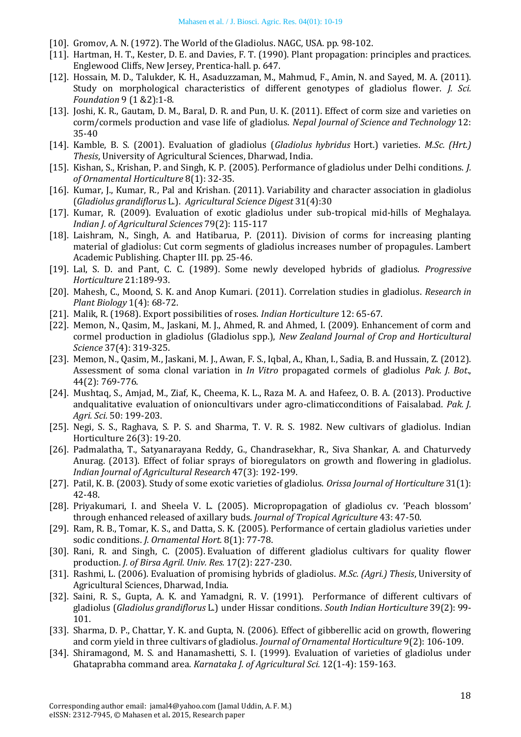- <span id="page-8-4"></span>[10]. Gromov, A. N. (1972). The World of the Gladiolus. NAGC, USA. pp. 98-102.
- <span id="page-8-1"></span>[11]. Hartman, H. T., Kester, D. E. and Davies, F. T. (1990). Plant propagation: principles and practices. Englewood Cliffs, New Jersey, Prentica-hall. p. 647.
- <span id="page-8-15"></span>[12]. Hossain, M. D., Talukder, K. H., Asaduzzaman, M., Mahmud, F., Amin, N. and Sayed, M. A. (2011). Study on morphological characteristics of different genotypes of gladiolus flower. *J. Sci. Foundation* 9 (1 &2):1-8.
- <span id="page-8-5"></span>[13]. Joshi, K. R., Gautam, D. M., Baral, D. R. and Pun, U. K. (2011). Effect of corm size and varieties on corm/cormels production and vase life of gladiolus. *Nepal Journal of Science and Technology* 12: 35-40
- <span id="page-8-16"></span>[14]. Kamble, B. S. (2001). Evaluation of gladiolus (*Gladiolus hybridus* Hort.) varieties. *M.Sc. (Hrt.) Thesis*, University of Agricultural Sciences, Dharwad, India.
- <span id="page-8-8"></span>[15]. Kishan, S., Krishan, P. and Singh, K. P. (2005). Performance of gladiolus under Delhi conditions. *J. of Ornamental Horticulture* 8(1): 32-35.
- <span id="page-8-23"></span>[16]. Kumar, J., Kumar, R., Pal and Krishan. (2011). Variability and character association in gladiolus (*Gladiolus grandiflorus* L.). *Agricultural Science Digest* 31(4):30
- <span id="page-8-24"></span>[17]. Kumar, R. (2009). Evaluation of exotic gladiolus under sub-tropical mid-hills of Meghalaya. *Indian J. of Agricultural Sciences* 79(2): 115-117
- <span id="page-8-6"></span>[18]. Laishram, N., Singh, A. and Hatibarua, P. (2011). Division of corms for increasing planting material of gladiolus: Cut corm segments of gladiolus increases number of propagules. Lambert Academic Publishing. Chapter III. pp. 25-46.
- <span id="page-8-21"></span>[19]. Lal, S. D. and Pant, C. C. (1989). Some newly developed hybrids of gladiolus. *Progressive Horticulture* 21:189-93.
- <span id="page-8-22"></span>[20]. Mahesh, C., Moond, S. K. and Anop Kumari. (2011). Correlation studies in gladiolus. *Research in Plant Biology* 1(4): 68-72.
- <span id="page-8-17"></span>[21]. Malik, R. (1968). Export possibilities of roses. *Indian Horticulture* 12: 65-67.
- <span id="page-8-0"></span>[22]. Memon, N., Qasim, M., Jaskani, M. J., Ahmed, R. and Ahmed, I. (2009). Enhancement of corm and cormel production in gladiolus (Gladiolus spp.), *New Zealand Journal of Crop and Horticultural Science* 37(4): 319-325.
- <span id="page-8-2"></span>[23]. Memon, N., Qasim, M., Jaskani, M. J., Awan, F. S., Iqbal, A., Khan, I., Sadia, B. and Hussain, Z. (2012). Assessment of soma clonal variation in *In Vitro* propagated cormels of gladiolus *Pak. J. Bot*., 44(2): 769-776.
- <span id="page-8-9"></span>[24]. Mushtaq, S., Amjad, M., Ziaf, K., Cheema, K. L., Raza M. A. and Hafeez, O. B. A. (2013). Productive andqualitative evaluation of onioncultivars under agro-climaticconditions of Faisalabad. *Pak. J. Agri. Sci.* 50: 199-203.
- <span id="page-8-20"></span>[25]. Negi, S. S., Raghava, S. P. S. and Sharma, T. V. R. S. 1982. New cultivars of gladiolus. Indian Horticulture 26(3): 19-20.
- <span id="page-8-11"></span>[26]. Padmalatha, T., Satyanarayana Reddy, G., Chandrasekhar, R., Siva Shankar, A. and Chaturvedy Anurag. (2013). Effect of foliar sprays of bioregulators on growth and flowering in gladiolus. *Indian Journal of Agricultural Research* 47(3): 192-199.
- <span id="page-8-18"></span>[27]. Patil, K. B. (2003). Study of some exotic varieties of gladiolus. *Orissa Journal of Horticulture* 31(1): 42-48.
- <span id="page-8-3"></span>[28]. Priyakumari, I. and Sheela V. L. (2005). Micropropagation of gladiolus cv. 'Peach blossom' through enhanced released of axillary buds. *Journal of Tropical Agriculture* 43: 47-50.
- <span id="page-8-19"></span>[29]. Ram, R. B., Tomar, K. S., and Datta, S. K. (2005). Performance of certain gladiolus varieties under sodic conditions. *J. Ornamental Hort.* 8(1): 77-78.
- <span id="page-8-12"></span>[30]. Rani, R. and Singh, C. (2005). Evaluation of different gladiolus cultivars for quality flower production. *J. of Birsa Agril. Univ. Res.* 17(2): 227-230.
- <span id="page-8-13"></span>[31]. Rashmi, L. (2006). Evaluation of promising hybrids of gladiolus. *M.Sc. (Agri.) Thesis*, University of Agricultural Sciences, Dharwad, India.
- <span id="page-8-7"></span>[32]. Saini, R. S., Gupta, A. K. and Yamadgni, R. V. (1991). Performance of different cultivars of gladiolus (*Gladiolus grandiflorus* L.) under Hissar conditions. *South Indian Horticulture* 39(2): 99- 101.
- <span id="page-8-10"></span>[33]. Sharma, D. P., Chattar, Y. K. and Gupta, N. (2006). Effect of gibberellic acid on growth, flowering and corm yield in three cultivars of gladiolus. *Journal of Ornamental Horticulture* 9(2): 106-109.
- <span id="page-8-14"></span>[34]. Shiramagond, M. S. and Hanamashetti, S. I. (1999). Evaluation of varieties of gladiolus under Ghataprabha command area. *Karnataka J. of Agricultural Sci.* 12(1-4): 159-163.